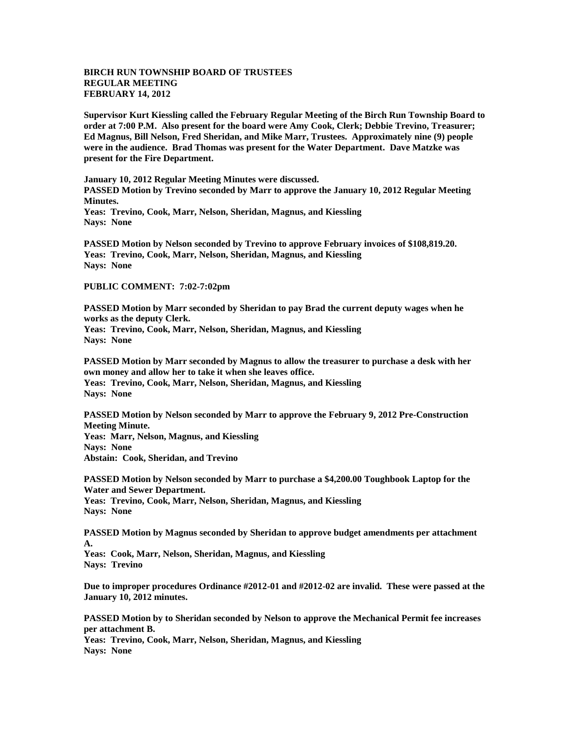## **BIRCH RUN TOWNSHIP BOARD OF TRUSTEES REGULAR MEETING FEBRUARY 14, 2012**

**Supervisor Kurt Kiessling called the February Regular Meeting of the Birch Run Township Board to order at 7:00 P.M. Also present for the board were Amy Cook, Clerk; Debbie Trevino, Treasurer; Ed Magnus, Bill Nelson, Fred Sheridan, and Mike Marr, Trustees. Approximately nine (9) people were in the audience. Brad Thomas was present for the Water Department. Dave Matzke was present for the Fire Department.** 

**January 10, 2012 Regular Meeting Minutes were discussed. PASSED Motion by Trevino seconded by Marr to approve the January 10, 2012 Regular Meeting Minutes.**

**Yeas: Trevino, Cook, Marr, Nelson, Sheridan, Magnus, and Kiessling Nays: None** 

**PASSED Motion by Nelson seconded by Trevino to approve February invoices of \$108,819.20. Yeas: Trevino, Cook, Marr, Nelson, Sheridan, Magnus, and Kiessling Nays: None** 

## **PUBLIC COMMENT: 7:02-7:02pm**

**PASSED Motion by Marr seconded by Sheridan to pay Brad the current deputy wages when he works as the deputy Clerk. Yeas: Trevino, Cook, Marr, Nelson, Sheridan, Magnus, and Kiessling Nays: None** 

**PASSED Motion by Marr seconded by Magnus to allow the treasurer to purchase a desk with her own money and allow her to take it when she leaves office. Yeas: Trevino, Cook, Marr, Nelson, Sheridan, Magnus, and Kiessling Nays: None** 

**PASSED Motion by Nelson seconded by Marr to approve the February 9, 2012 Pre-Construction Meeting Minute. Yeas: Marr, Nelson, Magnus, and Kiessling Nays: None Abstain: Cook, Sheridan, and Trevino**

**PASSED Motion by Nelson seconded by Marr to purchase a \$4,200.00 Toughbook Laptop for the Water and Sewer Department. Yeas: Trevino, Cook, Marr, Nelson, Sheridan, Magnus, and Kiessling Nays: None** 

**PASSED Motion by Magnus seconded by Sheridan to approve budget amendments per attachment A.**

**Yeas: Cook, Marr, Nelson, Sheridan, Magnus, and Kiessling Nays: Trevino** 

**Due to improper procedures Ordinance #2012-01 and #2012-02 are invalid. These were passed at the January 10, 2012 minutes.** 

**PASSED Motion by to Sheridan seconded by Nelson to approve the Mechanical Permit fee increases per attachment B. Yeas: Trevino, Cook, Marr, Nelson, Sheridan, Magnus, and Kiessling Nays: None**